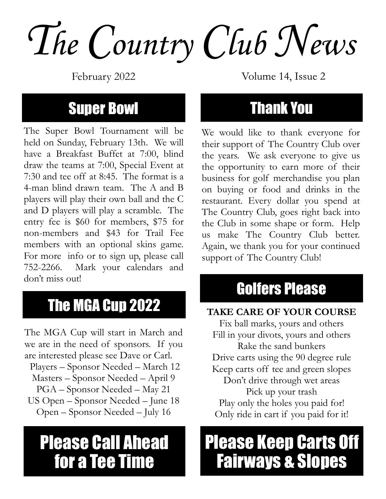The Country Club News

February 2022

#### **Super Bowl**

The Super Bowl Tournament will be held on Sunday, February 13th. We will have a Breakfast Buffet at 7:00, blind draw the teams at 7:00, Special Event at 7:30 and tee off at 8:45. The format is a 4-man blind drawn team. The A and B players will play their own ball and the C and D players will play a scramble. The entry fee is \$60 for members, \$75 for non-members and \$43 for Trail Fee members with an optional skins game. For more info or to sign up, please call 752-2266. Mark your calendars and don't miss out!

#### The MGA Cup 2022

The MGA Cup will start in March and we are in the need of sponsors. If you are interested please see Dave or Carl. Players – Sponsor Needed – March 12 Masters – Sponsor Needed – April 9 PGA – Sponsor Needed – May 21 US Open – Sponsor Needed – June 18 Open – Sponsor Needed – July 16

## **Please Call Ahead** for a Tee Time

Volume 14, Issue 2

#### **Thank You**

We would like to thank everyone for their support of The Country Club over the years. We ask everyone to give us the opportunity to earn more of their business for golf merchandise you plan on buying or food and drinks in the restaurant. Every dollar you spend at The Country Club, goes right back into the Club in some shape or form. Help us make The Country Club better. Again, we thank you for your continued support of The Country Club!

### Golfers Please

#### TAKE CARE OF YOUR COURSE

Fix ball marks, yours and others Fill in your divots, yours and others Rake the sand bunkers Drive carts using the 90 degree rule Keep carts off tee and green slopes Don't drive through wet areas Pick up your trash Play only the holes you paid for! Only ride in cart if you paid for it!

## **Please Keep Carts Off Fairways & Slopes**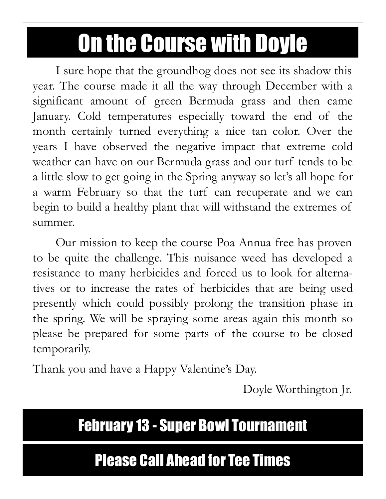# **On the Course with Doyle**

I sure hope that the groundhog does not see its shadow this year. The course made it all the way through December with a significant amount of green Bermuda grass and then came January. Cold temperatures especially toward the end of the month certainly turned everything a nice tan color. Over the years I have observed the negative impact that extreme cold weather can have on our Bermuda grass and our turf tends to be a little slow to get going in the Spring anyway so let's all hope for a warm February so that the turf can recuperate and we can begin to build a healthy plant that will withstand the extremes of summer.

Our mission to keep the course Poa Annua free has proven to be quite the challenge. This nuisance weed has developed a resistance to many herbicides and forced us to look for alternatives or to increase the rates of herbicides that are being used presently which could possibly prolong the transition phase in the spring. We will be spraying some areas again this month so please be prepared for some parts of the course to be closed temporarily.

Thank you and have a Happy Valentine's Day.

Doyle Worthington Jr.

#### **February 13 - Super Bowl Tournament**

#### **Please Call Ahead for Tee Times**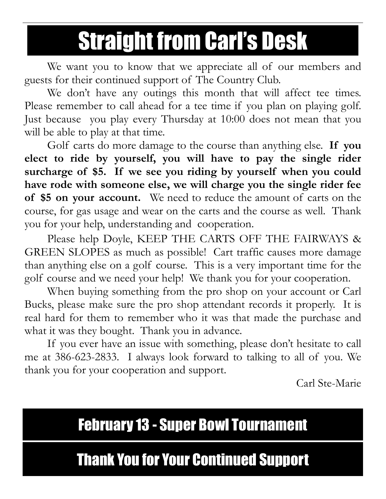# **Straight from Carl's Desk**

We want you to know that we appreciate all of our members and guests for their continued support of The Country Club.

We don't have any outings this month that will affect tee times. Please remember to call ahead for a tee time if you plan on playing golf. Just because you play every Thursday at 10:00 does not mean that you will be able to play at that time.

Golf carts do more damage to the course than anything else. If you elect to ride by yourself, you will have to pay the single rider surcharge of \$5. If we see you riding by yourself when you could have rode with someone else, we will charge you the single rider fee of \$5 on your account. We need to reduce the amount of carts on the course, for gas usage and wear on the carts and the course as well. Thank you for your help, understanding and cooperation.

Please help Doyle, KEEP THE CARTS OFF THE FAIRWAYS & GREEN SLOPES as much as possible! Cart traffic causes more damage than anything else on a golf course. This is a very important time for the golf course and we need your help! We thank you for your cooperation.

When buying something from the pro shop on your account or Carl Bucks, please make sure the pro shop attendant records it properly. It is real hard for them to remember who it was that made the purchase and what it was they bought. Thank you in advance.

If you ever have an issue with something, please don't hesitate to call me at 386-623-2833. I always look forward to talking to all of you. We thank you for your cooperation and support.

Carl Ste-Marie

#### **February 13 - Super Bowl Tournament**

#### **Thank You for Your Continued Support**